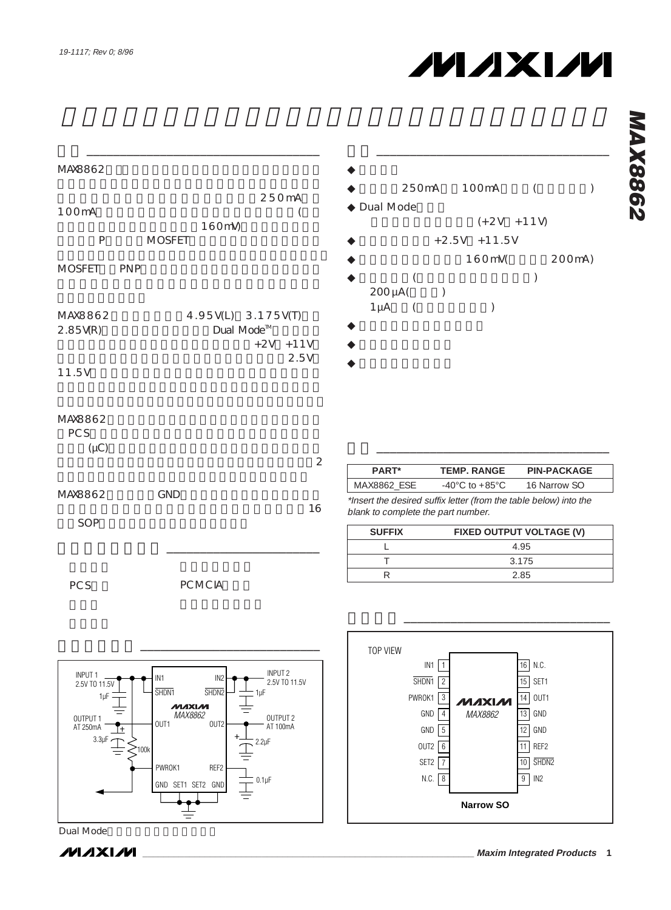# **MAXIM**

| MAX8862                                 |                                                                    |
|-----------------------------------------|--------------------------------------------------------------------|
| 100 <sub>m</sub> A                      | 250mA<br>(<br>160mV)                                               |
| P                                       | <b>MOSFET</b>                                                      |
| MOSFET PNP                              |                                                                    |
| MAX8862<br>2.85V(R)                     | 4.95V(L) 3.175V(T)<br>Dual Mode <sup>™</sup><br>$+2V +11V$<br>2.5V |
| 11.5V                                   |                                                                    |
| MAX8862<br>PC <sub>S</sub><br>$(\mu C)$ | $\overline{2}$                                                     |
| MAX8862                                 | <b>GND</b>                                                         |
| SOP                                     | 16                                                                 |
|                                         |                                                                    |
| <b>PCS</b>                              | <b>PCMCIA</b>                                                      |

INPUT 2 2.5V TO 11.5V

OUTPUT 2 AT 100mA

2.2µF

 $\tau$ 

Т

1µF

 $0.1$ uf

|             |                  | 250mA 100mA |                |               |        |
|-------------|------------------|-------------|----------------|---------------|--------|
| ◆ Dual Mode |                  |             |                |               |        |
|             |                  |             |                | $(+2V + 11V)$ |        |
|             |                  |             | $+2.5V +11.5V$ |               |        |
|             |                  |             | 160mV(         |               | 200mA) |
|             |                  |             |                |               |        |
| 200µA(      |                  |             |                |               |        |
| $1 \mu A$   | $\overline{(\ }$ |             |                |               |        |
|             |                  |             |                |               |        |
|             |                  |             |                |               |        |
|             |                  |             |                |               |        |

| <b>PART*</b> | <b>TEMP. RANGE</b>                  | <b>PIN-PACKAGE</b> |
|--------------|-------------------------------------|--------------------|
| MAX8862 ESE  | $-40^{\circ}$ C to $+85^{\circ}$ C. | 16 Narrow SO       |

 $\overline{\phantom{a}}$  , and the contract of the contract of the contract of the contract of the contract of the contract of the contract of the contract of the contract of the contract of the contract of the contract of the contrac

\*Insert the desired suffix letter (from the table below) into the blank to complete the part number.

| <b>SUFFIX</b> | FIXED OUTPUT VOLTAGE (V) |
|---------------|--------------------------|
|               | 495                      |
|               | 3 1 7 5                  |
|               | 285                      |
|               |                          |

ピン配置 \_\_\_\_\_\_\_\_\_\_\_\_\_\_\_\_\_\_\_\_\_\_\_\_\_\_\_\_\_\_\_



GND SET1 SET2 GND

PWROK1 REF2

OUT1 OUT2 MAX8862 SHDN1 SHDN2

**MAXIM** 

IN1 IN2

 $\frac{1}{2}$  ,  $\frac{1}{2}$  ,  $\frac{1}{2}$  ,  $\frac{1}{2}$  ,  $\frac{1}{2}$  ,  $\frac{1}{2}$  ,  $\frac{1}{2}$  ,  $\frac{1}{2}$  ,  $\frac{1}{2}$  ,  $\frac{1}{2}$  ,  $\frac{1}{2}$  ,  $\frac{1}{2}$  ,  $\frac{1}{2}$  ,  $\frac{1}{2}$  ,  $\frac{1}{2}$  ,  $\frac{1}{2}$  ,  $\frac{1}{2}$  ,  $\frac{1}{2}$  ,  $\frac{1$ 

 $\leq_{100k}$ 

Ŀ

Dual Mode



INPUT 1 2.5V TO 11.5V

1µF

3.3µF

OUTPUT 1 AT 250mA

**\_\_\_\_\_\_\_\_\_\_\_\_\_\_\_\_\_\_\_\_\_\_\_\_\_\_\_\_\_\_\_\_\_\_\_\_\_\_\_\_\_\_\_\_\_\_\_\_\_\_\_\_\_\_\_\_\_\_\_\_\_\_\_\_ Maxim Integrated Products 1**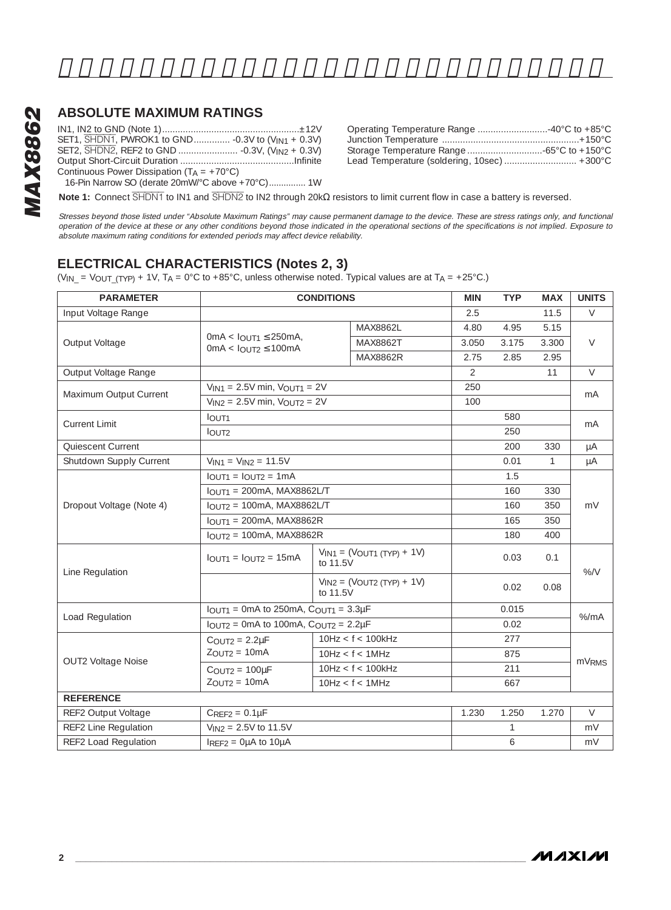## **ABSOLUTE MAXIMUM RATINGS**

| <b>ABSOLUTE MAXIMUM RATINGS</b>                                                                          |  |
|----------------------------------------------------------------------------------------------------------|--|
| Continuous Power Dissipation ( $TA = +70^{\circ}C$ )<br>16-Pin Narrow SO (derate 20mW/°C above +70°C) 1W |  |

| Lead Temperature (soldering, 10sec)  +300°C |  |
|---------------------------------------------|--|

Stresses beyond those listed under "Absolute Maximum Ratings" may cause permanent damage to the device. These are stress ratings only, and functional operation of the device at these or any other conditions beyond those indicated in the operational sections of the specifications is not implied. Exposure to<br>absolute maximum rating conditions for extended periods may affe

#### **ELECTRICAL CHARACTERISTICS (Notes 2, 3)**

(V<sub>IN\_</sub> = V<sub>OUT\_(TYP)</sub> + 1V, T<sub>A</sub> = 0°C to +85°C, unless otherwise noted. Typical values are at T<sub>A</sub> = +25°C.)

| <b>PARAMETER</b>         |                                                                  | <b>CONDITIONS</b>                      |                                  | <b>MIN</b>    | <b>TYP</b> | <b>MAX</b> | <b>UNITS</b>      |  |
|--------------------------|------------------------------------------------------------------|----------------------------------------|----------------------------------|---------------|------------|------------|-------------------|--|
| Input Voltage Range      |                                                                  |                                        |                                  | 2.5           |            | 11.5       | $\vee$            |  |
|                          |                                                                  |                                        | MAX8862L                         | 4.80          | 4.95       | 5.15       | $\vee$            |  |
| Output Voltage           | $0mA < IQUTT1 \le 250mA$<br>$0mA < IOUT2 \le 100mA$              |                                        | MAX8862T                         | 3.050         | 3.175      | 3.300      |                   |  |
|                          |                                                                  |                                        | MAX8862R                         | 2.75          | 2.85       | 2.95       |                   |  |
| Output Voltage Range     |                                                                  |                                        |                                  | $\mathcal{L}$ |            | 11         | $\vee$            |  |
| Maximum Output Current   |                                                                  | $V_{IN1}$ = 2.5V min, $V_{OUIT1}$ = 2V |                                  | 250           |            |            |                   |  |
|                          | $V_{1N2} = 2.5V$ min, $V_{OUT2} = 2V$                            |                                        |                                  | 100           |            |            | mA                |  |
| <b>Current Limit</b>     | <b>IOUT1</b>                                                     |                                        |                                  |               | 580        |            |                   |  |
|                          | lout <sub>2</sub>                                                |                                        |                                  |               | 250        |            | mA                |  |
| Quiescent Current        |                                                                  |                                        |                                  |               | 200        | 330        | μA                |  |
| Shutdown Supply Current  | $V_{IN1} = V_{IN2} = 11.5V$                                      |                                        |                                  |               | 0.01       | 1          | μA                |  |
|                          | $IOUT1 = IOUT2 = 1mA$                                            |                                        |                                  |               | 1.5        |            |                   |  |
|                          | $IOIIT1 = 200mA, MAX8862LT$                                      |                                        |                                  |               | 160        | 330        | mV                |  |
| Dropout Voltage (Note 4) | $I$ OUT2 = 100mA, MAX8862L/T                                     |                                        |                                  |               | 160        | 350        |                   |  |
|                          | $I$ OUT1 = 200mA, MAX8862R                                       |                                        |                                  |               | 165        | 350        |                   |  |
|                          | $IQUT2 = 100mA, MAX8862R$                                        |                                        |                                  |               | 180        | 400        |                   |  |
|                          | $I$ OUT1 = $I$ OUT2 = 15mA                                       | to 11.5V                               | $V_{IN1} = (V_{OUT1(TYP)} + 1V)$ |               | 0.03       | 0.1        | %N                |  |
| Line Regulation          |                                                                  | to 11.5V                               | $V_{1N2} = (V_{OUT2(TYP)} + 1V)$ |               | 0.02       | 0.08       |                   |  |
| Load Regulation          | $IOUT1 = 0mA$ to 250mA, $COUT1 = 3.3\mu F$                       |                                        |                                  |               | 0.015      |            | $%$ /mA           |  |
|                          | $I_{\text{OUT2}} = 0$ mA to 100mA, $C_{\text{OUT2}} = 2.2 \mu F$ |                                        |                                  |               | 0.02       |            |                   |  |
|                          | $COLUT2 = 2.2\muF$                                               |                                        | 10Hz < f < 100kHz                |               | 277        |            |                   |  |
| OUT2 Voltage Noise       | $ZOlIT2 = 10mA$                                                  |                                        | 10Hz < f < 1MHz                  |               | 875        |            |                   |  |
|                          | $COMIT2 = 100UF$                                                 |                                        | 10Hz < f < 100kHz                |               | 211        |            | mV <sub>RMS</sub> |  |
|                          | $ZOlIT2 = 10mA$                                                  |                                        | 10Hz < f < 1MHz                  |               | 667        |            |                   |  |
| <b>REFERENCE</b>         |                                                                  |                                        |                                  |               |            |            |                   |  |
| REF2 Output Voltage      | $C_{REF2} = 0.1 \mu F$                                           |                                        |                                  | 1.230         | 1.250      | 1.270      | $\vee$            |  |
| REF2 Line Regulation     | $V_{IN2} = 2.5V$ to 11.5V                                        |                                        |                                  |               | 1          |            | mV                |  |
| REF2 Load Regulation     | $I_{RFF2} = 0 \mu A$ to $10 \mu A$                               |                                        |                                  |               | 6          |            | mV                |  |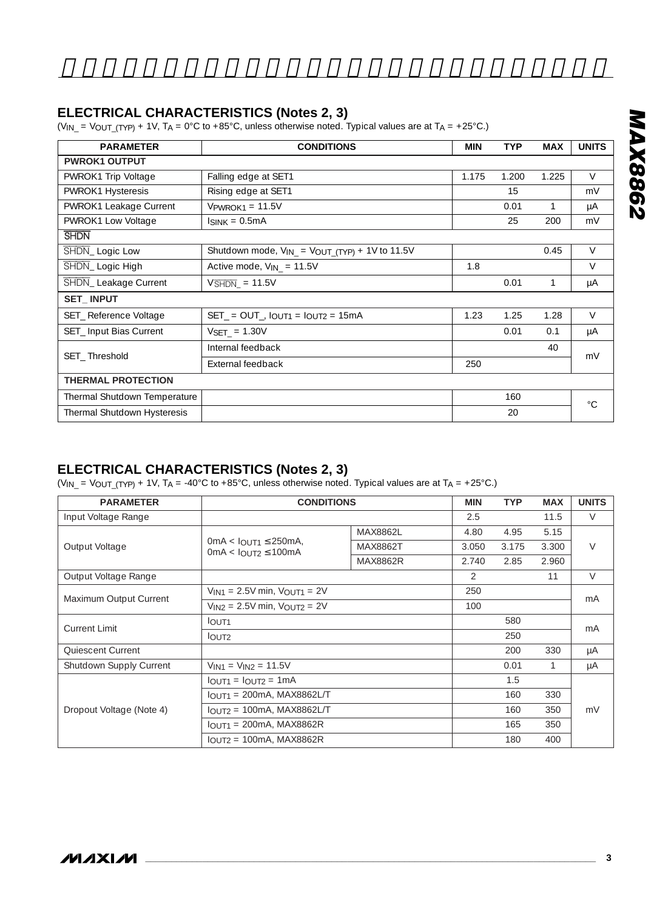#### **ELECTRICAL CHARACTERISTICS (Notes 2, 3)**

(V<sub>IN\_</sub> = V<sub>OUT\_(TYP)</sub> + 1V, T<sub>A</sub> = 0°C to +85°C, unless otherwise noted. Typical values are at T<sub>A</sub> = +25°C.)

| <b>PARAMETER</b>             | <b>CONDITIONS</b>                                                   | <b>MIN</b> | <b>TYP</b> | <b>MAX</b> | <b>UNITS</b> |
|------------------------------|---------------------------------------------------------------------|------------|------------|------------|--------------|
| <b>PWROK1 OUTPUT</b>         |                                                                     |            |            |            |              |
| PWROK1 Trip Voltage          | Falling edge at SET1                                                | 1.175      | 1.200      | 1.225      | $\vee$       |
| PWROK1 Hysteresis            | Rising edge at SET1                                                 |            | 15         |            | mV           |
| PWROK1 Leakage Current       | $V$ PWROK1 = 11.5V                                                  |            | 0.01       | 1          | μA           |
| PWROK1 Low Voltage           | $Isink = 0.5mA$                                                     |            | 25         | 200        | mV           |
| <b>SHDN</b>                  |                                                                     |            |            |            |              |
| SHDN_Logic Low               | Shutdown mode, $V_{\text{IN}} = V_{\text{OUT}}$ (TYP) + 1V to 11.5V |            |            | 0.45       | $\vee$       |
| SHDN_Logic High              | Active mode, $V_{IN} = 11.5V$                                       | 1.8        |            |            | $\vee$       |
| SHDN_ Leakage Current        | $V\overline{\text{SHDN}} = 11.5V$                                   |            | 0.01       | 1          | μA           |
| <b>SET INPUT</b>             |                                                                     |            |            |            |              |
| SET_Reference Voltage        | $SET_ = OUT_$ , $I_{QU}T_1 = I_{QUT2} = 15mA$                       | 1.23       | 1.25       | 1.28       | $\vee$       |
| SET_Input Bias Current       | $VSET = 1.30V$                                                      |            | 0.01       | 0.1        | μA           |
| SET Threshold                | Internal feedback                                                   |            |            | 40         | mV           |
|                              | External feedback                                                   | 250        |            |            |              |
| <b>THERMAL PROTECTION</b>    |                                                                     |            |            |            |              |
| Thermal Shutdown Temperature |                                                                     |            | 160        |            | $^{\circ}$ C |
| Thermal Shutdown Hysteresis  |                                                                     |            | 20         |            |              |

### **ELECTRICAL CHARACTERISTICS (Notes 2, 3)**

(V<sub>IN\_</sub> = V<sub>OUT\_(TYP)</sub> + 1V, T<sub>A</sub> = -40°C to +85°C, unless otherwise noted. Typical values are at T<sub>A</sub> = +25°C.)

| <b>PARAMETER</b>         |                                                                            | <b>CONDITIONS</b> |       |       | <b>MAX</b> | <b>UNITS</b> |
|--------------------------|----------------------------------------------------------------------------|-------------------|-------|-------|------------|--------------|
| Input Voltage Range      |                                                                            |                   | 2.5   |       | 11.5       | V            |
|                          |                                                                            | MAX8862L          | 4.80  | 4.95  | 5.15       |              |
| Output Voltage           | $0mA < I_{OUT1} \leq 250mA$ ,<br>$0mA <$ $\vert$ $0 \vert$ $T$ $>$ $100mA$ | MAX8862T          | 3.050 | 3.175 | 3.300      | V            |
|                          |                                                                            | MAX8862R          | 2.740 | 2.85  | 2.960      |              |
| Output Voltage Range     |                                                                            |                   |       |       | 11         | V            |
| Maximum Output Current   | $V_{\text{IN1}} = 2.5V$ min, $V_{\text{OUT1}} = 2V$                        |                   |       |       |            | mA           |
|                          | $V_{IN2} = 2.5V$ min, $V_{OII}T2 = 2V$                                     |                   |       |       |            |              |
| Current I imit           | <b>IOUT1</b>                                                               |                   | 580   |       | mA         |              |
|                          | <b>OUT2</b>                                                                |                   |       | 250   |            |              |
| Quiescent Current        |                                                                            |                   |       | 200   | 330        | μA           |
| Shutdown Supply Current  | $V_{IN1} = V_{IN2} = 11.5V$                                                |                   |       | 0.01  |            | μA           |
|                          | $IOUT1 = IOUT2 = 1mA$                                                      |                   | 1.5   |       |            |              |
| Dropout Voltage (Note 4) | $IQUT1 = 200mA, MAX8862L/T$                                                |                   |       | 160   | 330        |              |
|                          | $IQUT2 = 100mA, MAX8862L/T$                                                |                   |       | 160   | 350        | mV           |
|                          | $IQUT1 = 200mA, MAX8862R$                                                  |                   |       | 165   | 350        |              |
|                          | $IOUT2 = 100mA, MAX8862R$                                                  |                   |       | 180   | 400        |              |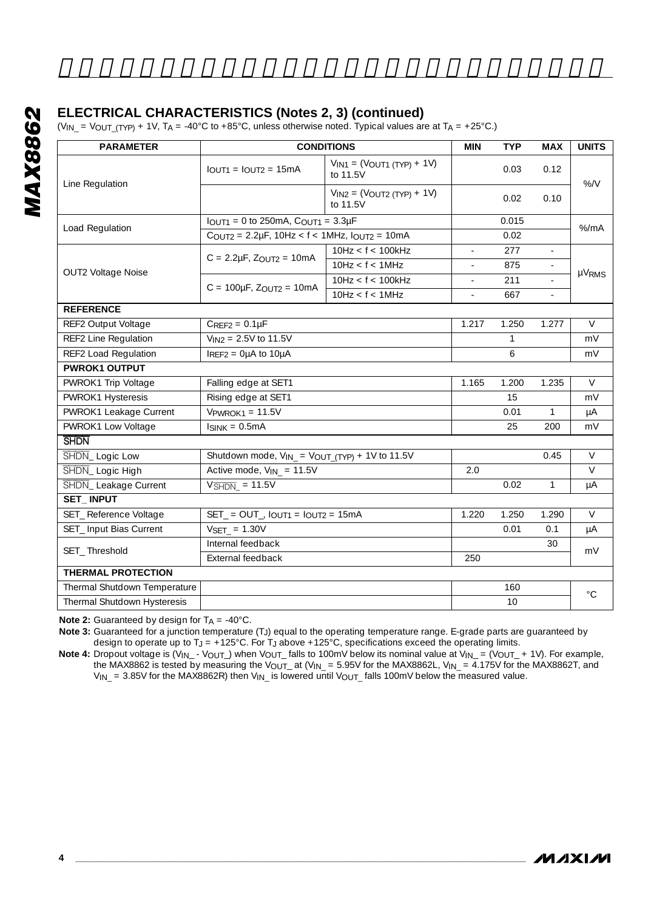#### **ELECTRICAL CHARACTERISTICS (Notes 2, 3) (continued)**

| <b>PARAMETER</b>          |                                                         | <b>CONDITIONS</b>                            | <b>MIN</b>                                                                                                    | <b>TYP</b> | <b>MAX</b> | <b>UNITS</b> |
|---------------------------|---------------------------------------------------------|----------------------------------------------|---------------------------------------------------------------------------------------------------------------|------------|------------|--------------|
|                           | $IOUT1 = IOUT2 = 15mA$                                  | $V_{IN1} = (V_{OUT1(TYP)} + 1V)$<br>to 11.5V |                                                                                                               | 0.03       | 0.12       |              |
| Line Regulation           |                                                         | $V_{IN2} = (V_{OUT2(TYP)} + 1V)$<br>to 11.5V |                                                                                                               | 0.02       | 0.10       | %N           |
|                           | $IOUTT1 = 0$ to 250mA, C <sub>OUT1</sub> = 3.3µF        |                                              |                                                                                                               | 0.015      |            |              |
| Load Regulation           | COUT2 = $2.2 \mu$ F, 10Hz < f < 1MHz, $I_{OUT2}$ = 10mA |                                              |                                                                                                               | 0.02       |            | $%$ /mA      |
|                           |                                                         | 10Hz < f < 100kHz                            | 277<br>$\sim$<br>$\sim$<br>875<br>ä,<br><b>µVRMS</b><br>211<br>667<br>1.250<br>$\vee$<br>1.217<br>1.277<br>mV |            |            |              |
| OUT2 Voltage Noise        | $C = 2.2 \mu F$ , $Z_{OUT2} = 10 mA$                    | 10Hz < f < 1MHz                              |                                                                                                               |            |            |              |
|                           |                                                         | 10Hz < f < 100kHz                            |                                                                                                               |            |            |              |
|                           | $C = 100 \mu F$ , $Z_{OUT2} = 10 mA$                    | 10Hz < f < 1MHz                              |                                                                                                               |            |            |              |
| <b>REFERENCE</b>          |                                                         |                                              |                                                                                                               |            |            |              |
| REF2 Output Voltage       | $C_{RFF2} = 0.1 \mu F$                                  |                                              |                                                                                                               |            |            |              |
| REF2 Line Regulation      | $V_{\text{IN2}} = 2.5V$ to 11.5V                        |                                              |                                                                                                               | 1          |            |              |
| REF2 Load Regulation      | $I_{REF2} = 0 \mu A$ to $10 \mu A$                      |                                              |                                                                                                               | 6          |            | mV           |
| <b>PWROK1 OUTPUT</b>      |                                                         |                                              |                                                                                                               |            |            |              |
| PWROK1 Trip Voltage       | Falling edge at SET1                                    |                                              | 1.165                                                                                                         | 1.200      | 1.235      |              |
| PWROK1 Hysteresis         | Rising edge at SET1                                     |                                              |                                                                                                               | 15         |            | mV           |
| PWROK1 Leakage Current    | $VPWROK1 = 11.5V$                                       |                                              |                                                                                                               | 0.01       | 1          | μA           |
| PWROK1 Low Voltage        | $IsINK = 0.5mA$                                         |                                              |                                                                                                               | 25         | 200        | mV           |
| <b>SHDN</b>               |                                                         |                                              |                                                                                                               |            |            |              |
| SHDN_Logic Low            | Shutdown mode, $V_{IN} = V_{OUT}$ (TYP) + 1V to 11.5V   |                                              |                                                                                                               |            | 0.45       |              |
| SHDN_Logic High           | Active mode, $V_{IN} = 11.5V$                           |                                              | 2.0                                                                                                           |            |            |              |
| SHDN_ Leakage Current     | $V\overline{SHDN}$ = 11.5V                              |                                              |                                                                                                               | 0.02       | 1          | μA           |
| <b>SET INPUT</b>          |                                                         |                                              |                                                                                                               |            |            |              |
| SET_Reference Voltage     | $SET_ = OUT_$ , $I_{OUT1} = I_{OUT2} = 15mA$            |                                              | 1.220                                                                                                         | 1.250      | 1.290      |              |
| SET Input Bias Current    | $VSET = 1.30V$                                          |                                              |                                                                                                               | 0.01       | 0.1        |              |
| SET Threshold             | Internal feedback                                       |                                              |                                                                                                               |            | 30         | mV           |
| <b>THERMAL PROTECTION</b> | External feedback                                       |                                              | 250                                                                                                           |            |            |              |

**Note 2:** Guaranteed by design for  $T_A = -40^\circ C$ .

**Note 3:** Guaranteed for a junction temperature (TJ) equal to the operating temperature range. E-grade parts are guaranteed by design to operate up to T<sub>J</sub> = +125°C. For T<sub>J</sub> above +125°C, specifications exceed the operating limits.

**Note 4:** Dropout voltage is (V<sub>IN</sub>\_ - V<sub>OUT</sub>\_) when V<sub>OUT</sub>\_ falls to 100mV below its nominal value at V<sub>IN</sub>\_ = (V<sub>OUT</sub> + 1V). For example, the MAX8862 is tested by measuring the V<sub>OUT\_</sub> at (V<sub>IN\_</sub> = 5.95V for the MAX8862L, V<sub>IN\_</sub> = 4.175V for the MAX8862T, and  $V_{\text{IN}}$  = 3.85V for the MAX8862R) then  $V_{\text{IN}}$  is lowered until  $V_{\text{OUT}}$  falls 100mV below the measured value.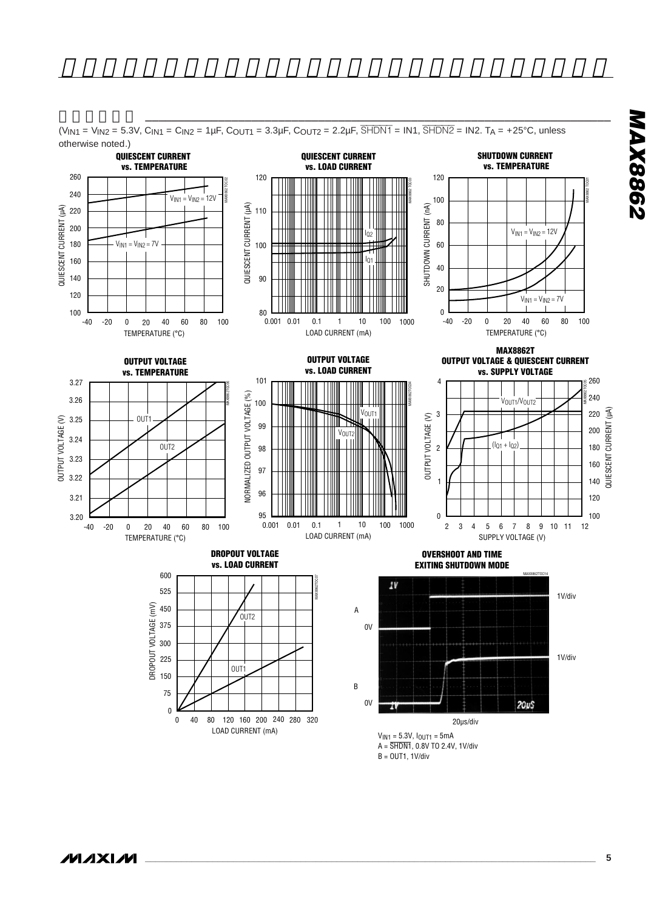

B = OUT1, 1V/div

 $(V_{IN1} = V_{IN2} = 5.3V, C_{IN1} = C_{IN2} = 1 \mu F, C_{OUT1} = 3.3 \mu F, C_{OUT2} = 2.2 \mu F, \overline{SHDN1} = IN1, \overline{SHDN2} = IN2. T_A = +25^{\circ}C, \text{ unless}$ otherwise noted.)

 $\mathcal{L}_{\mathcal{M}}$  , and the set of the set of the set of the set of the set of the set of the set of the set of the set of the set of the set of the set of the set of the set of the set of the set of the set of the set of th

**MAX8862**

**MAX8862**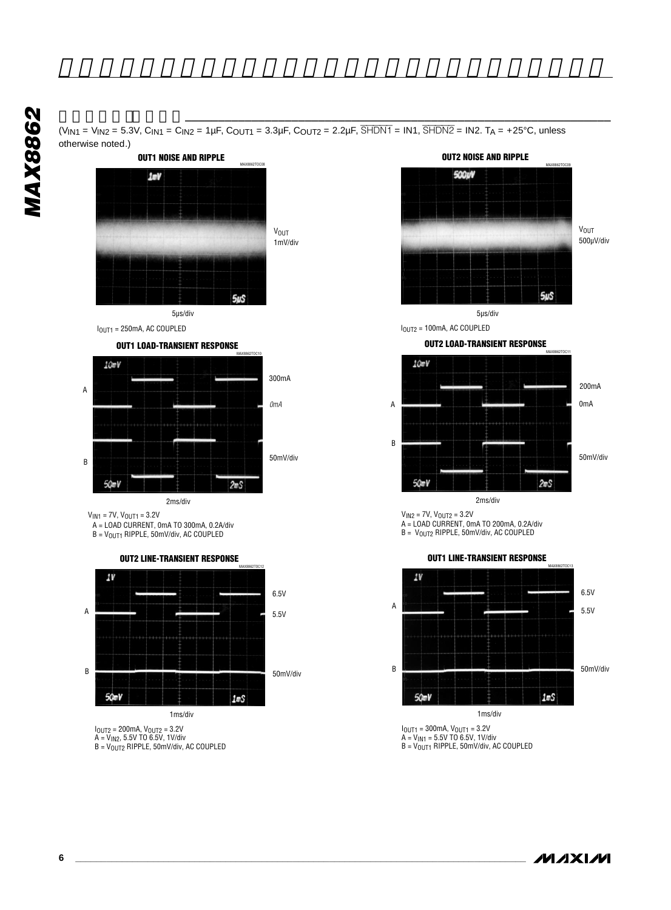

 $5\nu$ S

 $\mathcal{L}_{\mathcal{L}_{\mathcal{L}}}$  , and the contribution of the contribution of the contribution of the contribution of the contribution of the contribution of the contribution of the contribution of the contribution of the contributi

 $(V_{IN1} = V_{IN2} = 5.3V, C_{IN1} = C_{IN2} = 1 \mu F, COUT1 = 3.3 \mu F, COUT2 = 2.2 \mu F, \overline{SHDNI} = IN1, \overline{SHDNI} = IN2.$  TA = +25°C, unless

5µs/div  $I<sub>OUT1</sub> = 250mA$ , AC COUPLED





 $V_{INI}$  = 7V,  $V_{OUT1}$  = 3.2V A = LOAD CURRENT, 0mA TO 300mA, 0.2A/div

 $B = V_{\text{OUT1}}$  RIPPLE, 50mV/div, AC COUPLED

**OUT2 LINE-TRANSIENT RESPONSE**



I<sub>OUT2</sub> = 200mA, V<sub>OUT2</sub> = 3.2V<br>A = V<sub>IN2</sub>, 5.5V TO 6.5V, 1V/div<br>B = V<sub>OUT2</sub> RIPPLE, 50mV/div, AC COUPLED

**OUT2 NOISE AND RIPPLE**



VOUT 500µV/div

MAX8862TOC09

I<sub>OUT2</sub> = 100mA, AC COUPLED

**OUT2 LOAD-TRANSIENT RESPONSE**

5µs/div



2ms/div

V<sub>IN2</sub> = 7V, V<sub>OUT2</sub> = 3.2V<br>A = LOAD CURRENT, 0mA TO 200mA, 0.2A/div<br>B = V<sub>OUT2</sub> RIPPLE, 50mV/div, AC COUPLED



 $I_{OUT1} = 300mA, V_{OUT1} = 3.2V$  $A = V_{IN1} = 5.5V$  TO 6.5V, 1V/div B = V<sub>OUT1</sub> RIPPLE, 50mV/div, AC COUPLED

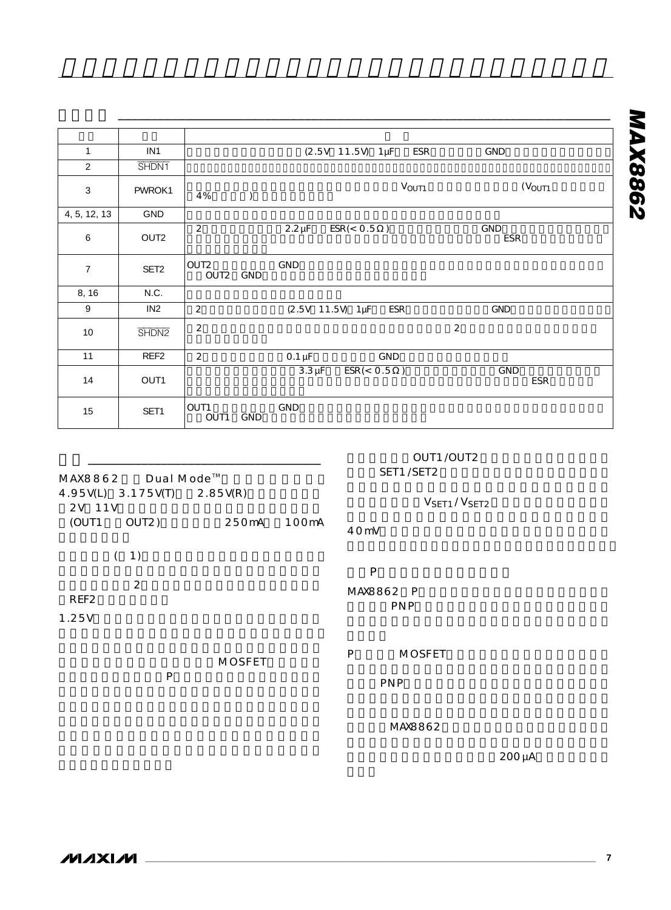| $\mathbf{1}$   | IN1               |                     | $(2.5V$ 11.5V) 1µF<br><b>ESR</b> | GND                |
|----------------|-------------------|---------------------|----------------------------------|--------------------|
| 2              | SHDN1             |                     |                                  |                    |
| 3              | PWROK1            | 4%<br>$\mathcal{L}$ | V <sub>OUT1</sub>                | (V <sub>OUT1</sub> |
| 4, 5, 12, 13   | <b>GND</b>        |                     |                                  |                    |
| 6              | OUT <sub>2</sub>  | $\overline{2}$      | $ESR(0.5)$<br>$2.2 \mu F$        | GND<br>ESR         |
| $\overline{7}$ | SET2              | OUT2<br>OUT2 GND    | GND                              |                    |
| 8, 16          | N.C.              |                     |                                  |                    |
| 9              | IN2               | $\overline{2}$      | <b>ESR</b><br>$(2.5V$ 11.5V) 1µF | GND                |
| 10             | SHDN <sub>2</sub> | $\overline{2}$      |                                  | 2                  |
| 11             | REF <sub>2</sub>  | 2                   | $0.1 \mu F$<br>GND               |                    |
| 14             | OUT1              |                     | $3.3 \mu F$<br>$ESR(0.5)$        | GND<br><b>ESR</b>  |
| 15             | SET1              | OUT1<br>OUT1 GND    | GND                              |                    |

 $\frac{1}{2}$  ,  $\frac{1}{2}$  ,  $\frac{1}{2}$  ,  $\frac{1}{2}$  ,  $\frac{1}{2}$  ,  $\frac{1}{2}$  ,  $\frac{1}{2}$  ,  $\frac{1}{2}$  ,  $\frac{1}{2}$  ,  $\frac{1}{2}$  ,  $\frac{1}{2}$  ,  $\frac{1}{2}$  ,  $\frac{1}{2}$  ,  $\frac{1}{2}$  ,  $\frac{1}{2}$  ,  $\frac{1}{2}$  ,  $\frac{1}{2}$  ,  $\frac{1}{2}$  ,  $\frac{1$ 

|                                       |                    |                    | OUT1/OUT2                             |  |
|---------------------------------------|--------------------|--------------------|---------------------------------------|--|
| MAX8862 Dual Mode™                    |                    |                    | SET1/SET2                             |  |
| 4.95V(L) 3.175V(T) 2.85V(R)<br>2V 11V |                    |                    | V <sub>SET1</sub> / V <sub>SET2</sub> |  |
| (OUT1<br>OUT2)                        | 250 <sub>m</sub> A | 100 <sub>m</sub> A | 40 <sub>mV</sub>                      |  |
| (1)                                   |                    |                    |                                       |  |
| 2                                     |                    |                    | P<br>MAX8862 P                        |  |
| REF <sub>2</sub><br>1.25V             |                    |                    | <b>PNP</b>                            |  |
|                                       | <b>MOSFET</b>      |                    | P<br><b>MOSFET</b>                    |  |
| P                                     |                    |                    | <b>PNP</b>                            |  |
|                                       |                    |                    | MAX8862                               |  |

 $200 \mu A$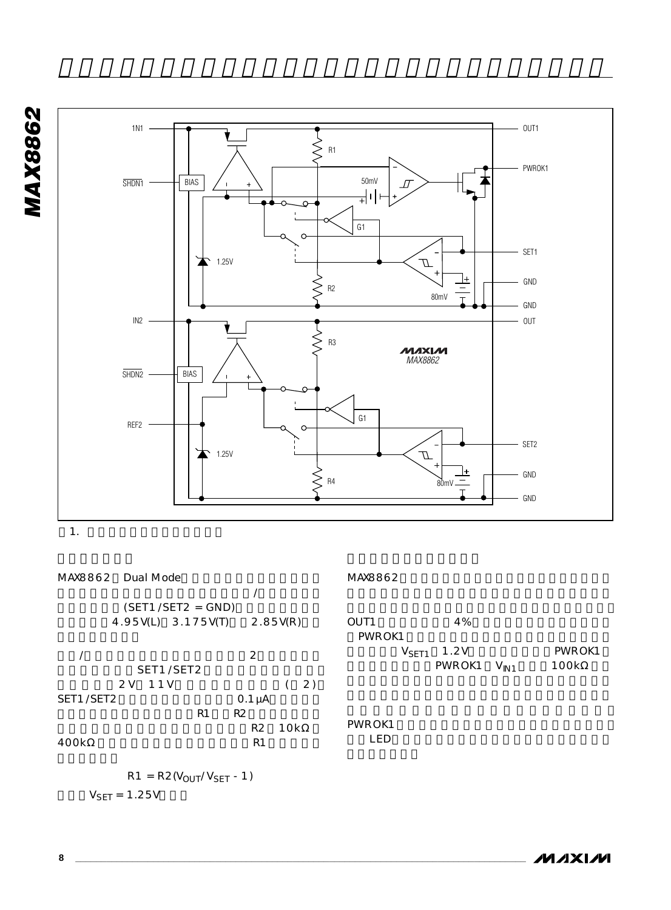



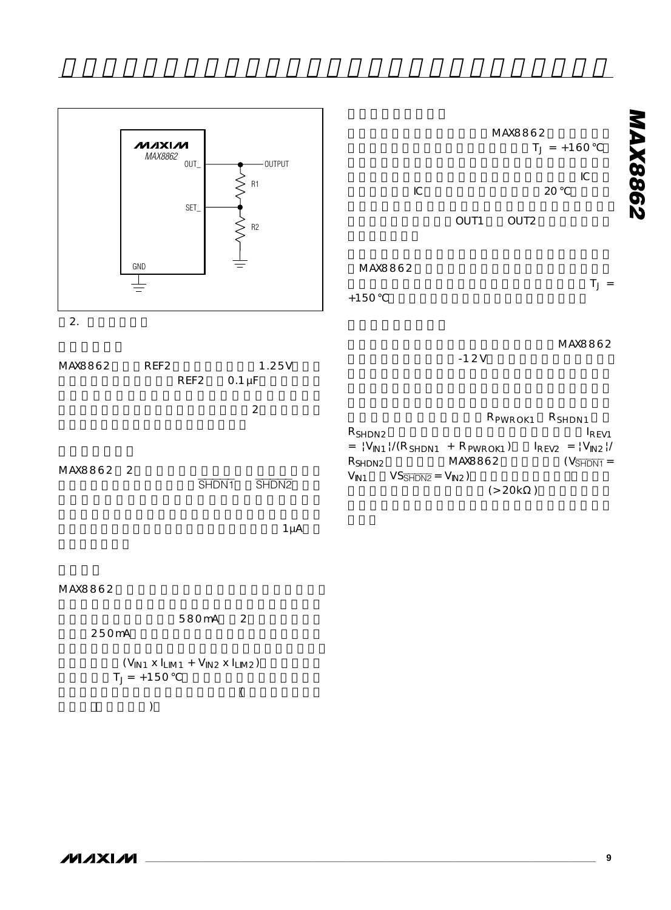

 $T_J =$ 

 $MAX8862$ 

MAX8862

 $T_J = +160$ 



|           |  | REF2 $0.1 \mu F$ |             |  |
|-----------|--|------------------|-------------|--|
|           |  |                  | 2           |  |
| MAX8862 2 |  |                  | SHDN1 SHDN2 |  |

| 0.1 µF |                                 |                                           |                                                                           |                                              |
|--------|---------------------------------|-------------------------------------------|---------------------------------------------------------------------------|----------------------------------------------|
| 2      |                                 |                                           |                                                                           | RPWROK1 RSHDN1                               |
|        | $R$ SHDN2<br>R <sub>SHDN2</sub> |                                           | $=$ $ V_{N1} /(R_{SHDN1} + R_{PWROK1})$ $I_{REV2} =  V_{N2} /$<br>MAX8862 | I <sub>R</sub> <sub>FVI</sub><br>$(VSHINT =$ |
|        | SHDN <sub>2</sub>               | $V_{N1}$ $VS_{\overline{SHDN2}} = V_{N2}$ | ( > 20k )                                                                 |                                              |

 $1 \mu$ A

```
MAX8862
```
580mA 2 250mA  $(V_{IN1} \times I_{LIM1} + V_{IN2} \times I_{LIM2})$  $T_J = +150$  $\Gamma$ 

$$
\big) \quad
$$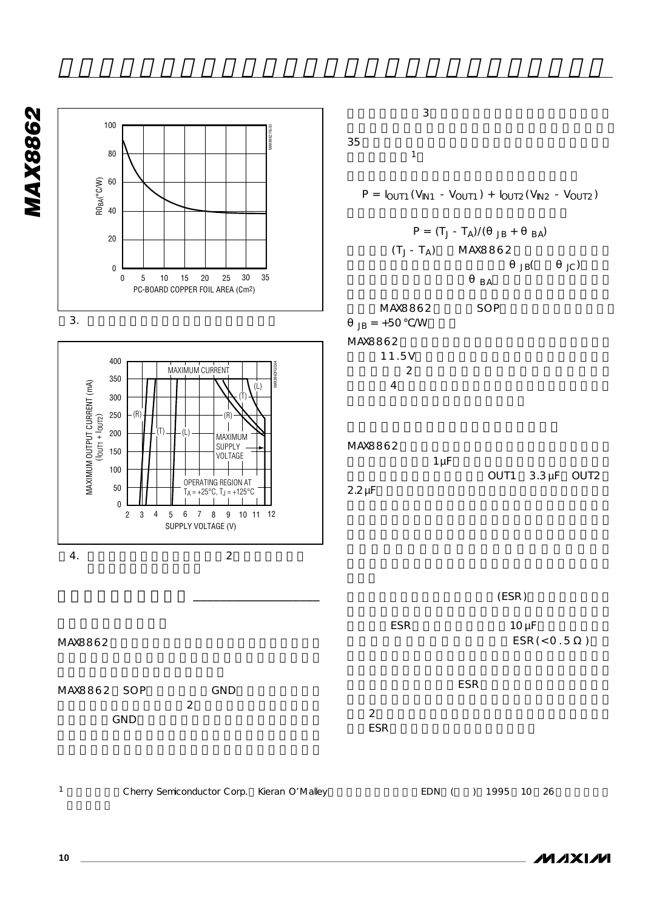

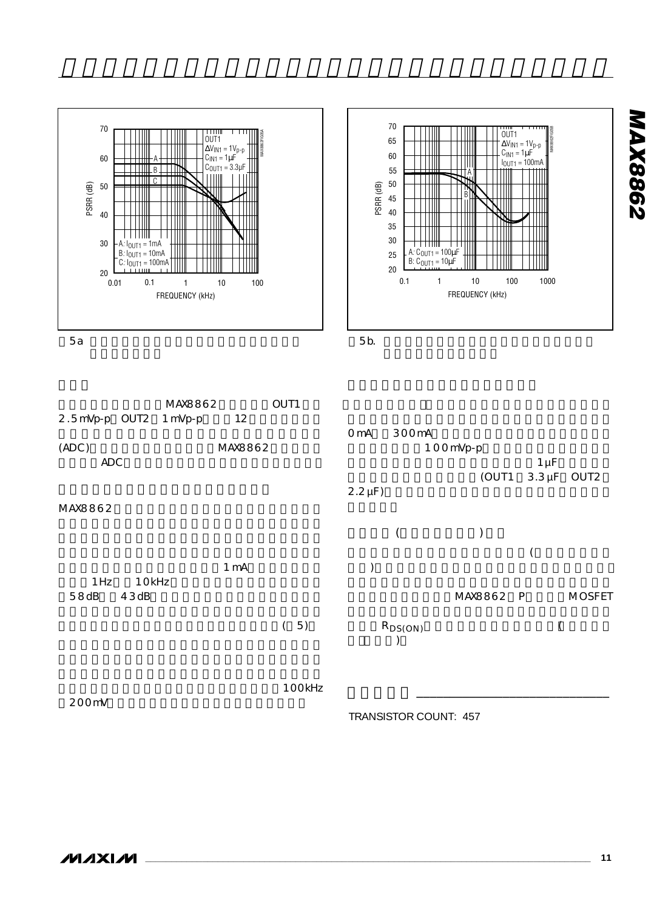





**MAX8862**

**MAX8862** 



**\_\_\_\_\_\_\_\_\_\_\_\_\_\_\_\_\_\_\_\_\_\_\_\_\_\_\_\_\_\_\_\_\_\_\_\_\_\_\_\_\_\_\_\_\_\_\_\_\_\_\_\_\_\_\_\_\_\_\_\_\_\_\_\_\_\_\_\_\_\_\_\_\_\_\_\_\_\_\_\_\_\_\_\_\_\_ 11**